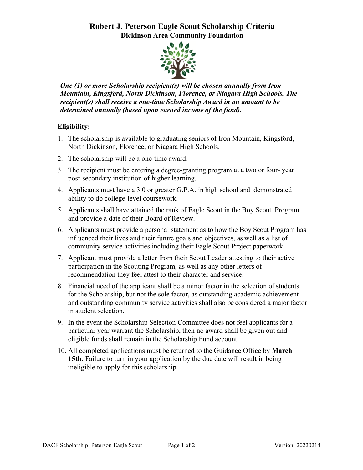## **Robert J. Peterson Eagle Scout Scholarship Criteria Dickinson Area Community Foundation**



*One (1) or more Scholarship recipient(s) will be chosen annually from Iron Mountain, Kingsford, North Dickinson, Florence, or Niagara High Schools. The recipient(s) shall receive a one-time Scholarship Award in an amount to be determined annually (based upon earned income of the fund).*

## **Eligibility:**

- 1. The scholarship is available to graduating seniors of Iron Mountain, Kingsford, North Dickinson, Florence, or Niagara High Schools.
- 2. The scholarship will be a one-time award.
- 3. The recipient must be entering a degree-granting program at a two or four- year post-secondary institution of higher learning.
- 4. Applicants must have a 3.0 or greater G.P.A. in high school and demonstrated ability to do college-level coursework.
- 5. Applicants shall have attained the rank of Eagle Scout in the Boy Scout Program and provide a date of their Board of Review.
- 6. Applicants must provide a personal statement as to how the Boy Scout Program has influenced their lives and their future goals and objectives, as well as a list of community service activities including their Eagle Scout Project paperwork.
- 7. Applicant must provide a letter from their Scout Leader attesting to their active participation in the Scouting Program, as well as any other letters of recommendation they feel attest to their character and service.
- 8. Financial need of the applicant shall be a minor factor in the selection of students for the Scholarship, but not the sole factor, as outstanding academic achievement and outstanding community service activities shall also be considered a major factor in student selection.
- 9. In the event the Scholarship Selection Committee does not feel applicants for a particular year warrant the Scholarship, then no award shall be given out and eligible funds shall remain in the Scholarship Fund account.
- 10. All completed applications must be returned to the Guidance Office by **March 15th**. Failure to turn in your application by the due date will result in being ineligible to apply for this scholarship.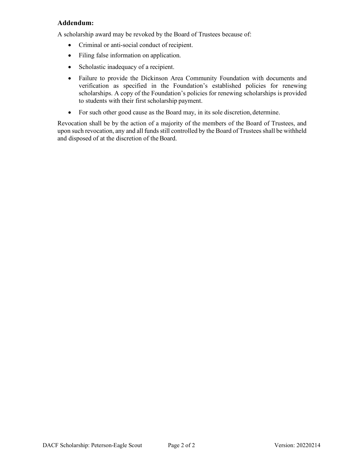### **Addendum:**

A scholarship award may be revoked by the Board of Trustees because of:

- Criminal or anti-social conduct of recipient.
- Filing false information on application.
- Scholastic inadequacy of a recipient.
- Failure to provide the Dickinson Area Community Foundation with documents and verification as specified in the Foundation's established policies for renewing scholarships. A copy of the Foundation's policies for renewing scholarships is provided to students with their first scholarship payment.
- For such other good cause as the Board may, in its sole discretion, determine.

Revocation shall be by the action of a majority of the members of the Board of Trustees, and upon such revocation, any and all funds still controlled by the Board of Trustees shall be withheld and disposed of at the discretion of the Board.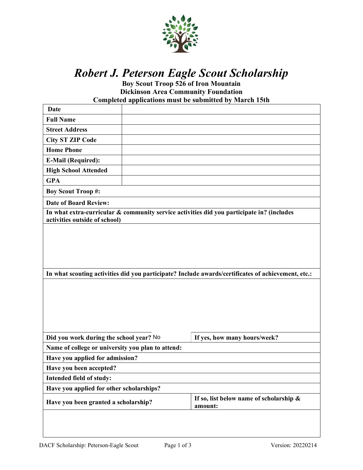

# *Robert J. Peterson Eagle Scout Scholarship*

**Boy Scout Troop 526 of Iron Mountain Dickinson Area Community Foundation Completed applications must be submitted by March 15th**

| Date                                                                                                                       |                                                                                                    |                                                    |  |  |  |
|----------------------------------------------------------------------------------------------------------------------------|----------------------------------------------------------------------------------------------------|----------------------------------------------------|--|--|--|
| <b>Full Name</b>                                                                                                           |                                                                                                    |                                                    |  |  |  |
| <b>Street Address</b>                                                                                                      |                                                                                                    |                                                    |  |  |  |
| <b>City ST ZIP Code</b>                                                                                                    |                                                                                                    |                                                    |  |  |  |
| <b>Home Phone</b>                                                                                                          |                                                                                                    |                                                    |  |  |  |
| <b>E-Mail (Required):</b>                                                                                                  |                                                                                                    |                                                    |  |  |  |
| <b>High School Attended</b>                                                                                                |                                                                                                    |                                                    |  |  |  |
| <b>GPA</b>                                                                                                                 |                                                                                                    |                                                    |  |  |  |
| <b>Boy Scout Troop#:</b>                                                                                                   |                                                                                                    |                                                    |  |  |  |
| <b>Date of Board Review:</b>                                                                                               |                                                                                                    |                                                    |  |  |  |
| In what extra-curricular & community service activities did you participate in? (includes<br>activities outside of school) |                                                                                                    |                                                    |  |  |  |
|                                                                                                                            |                                                                                                    |                                                    |  |  |  |
|                                                                                                                            |                                                                                                    |                                                    |  |  |  |
|                                                                                                                            |                                                                                                    |                                                    |  |  |  |
|                                                                                                                            |                                                                                                    |                                                    |  |  |  |
|                                                                                                                            |                                                                                                    |                                                    |  |  |  |
|                                                                                                                            | In what scouting activities did you participate? Include awards/certificates of achievement, etc.: |                                                    |  |  |  |
|                                                                                                                            |                                                                                                    |                                                    |  |  |  |
|                                                                                                                            |                                                                                                    |                                                    |  |  |  |
|                                                                                                                            |                                                                                                    |                                                    |  |  |  |
|                                                                                                                            |                                                                                                    |                                                    |  |  |  |
|                                                                                                                            |                                                                                                    |                                                    |  |  |  |
|                                                                                                                            |                                                                                                    |                                                    |  |  |  |
|                                                                                                                            |                                                                                                    |                                                    |  |  |  |
| Did you work during the school year? No                                                                                    |                                                                                                    | If yes, how many hours/week?                       |  |  |  |
| Name of college or university you plan to attend:                                                                          |                                                                                                    |                                                    |  |  |  |
| Have you applied for admission?                                                                                            |                                                                                                    |                                                    |  |  |  |
| Have you been accepted?                                                                                                    |                                                                                                    |                                                    |  |  |  |
| Intended field of study:                                                                                                   |                                                                                                    |                                                    |  |  |  |
| Have you applied for other scholarships?                                                                                   |                                                                                                    |                                                    |  |  |  |
| Have you been granted a scholarship?                                                                                       |                                                                                                    | If so, list below name of scholarship &<br>amount: |  |  |  |
|                                                                                                                            |                                                                                                    |                                                    |  |  |  |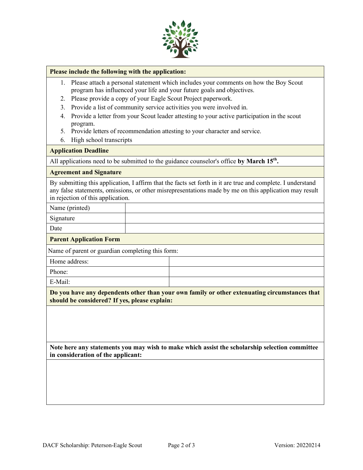

#### **Please include the following with the application:**

- 1. Please attach a personal statement which includes your comments on how the Boy Scout program has influenced your life and your future goals and objectives.
- 2. Please provide a copy of your Eagle Scout Project paperwork.
- 3. Provide a list of community service activities you were involved in.
- 4. Provide a letter from your Scout leader attesting to your active participation in the scout program.
- 5. Provide letters of recommendation attesting to your character and service.
- 6. High school transcripts

#### **Application Deadline**

All applications need to be submitted to the guidance counselor's office by March 15<sup>th</sup>.

#### **Agreement and Signature**

By submitting this application, I affirm that the facts set forth in it are true and complete. I understand any false statements, omissions, or other misrepresentations made by me on this application may result in rejection of this application.

Name (printed)

Signature

Date

#### **Parent Application Form**

Name of parent or guardian completing this form:

| Home address: |  |
|---------------|--|
| Phone:        |  |
| E-Mail:       |  |

**Do you have any dependents other than your own family or other extenuating circumstances that should be considered? If yes, please explain:**

**Note here any statements you may wish to make which assist the scholarship selection committee in consideration of the applicant:**